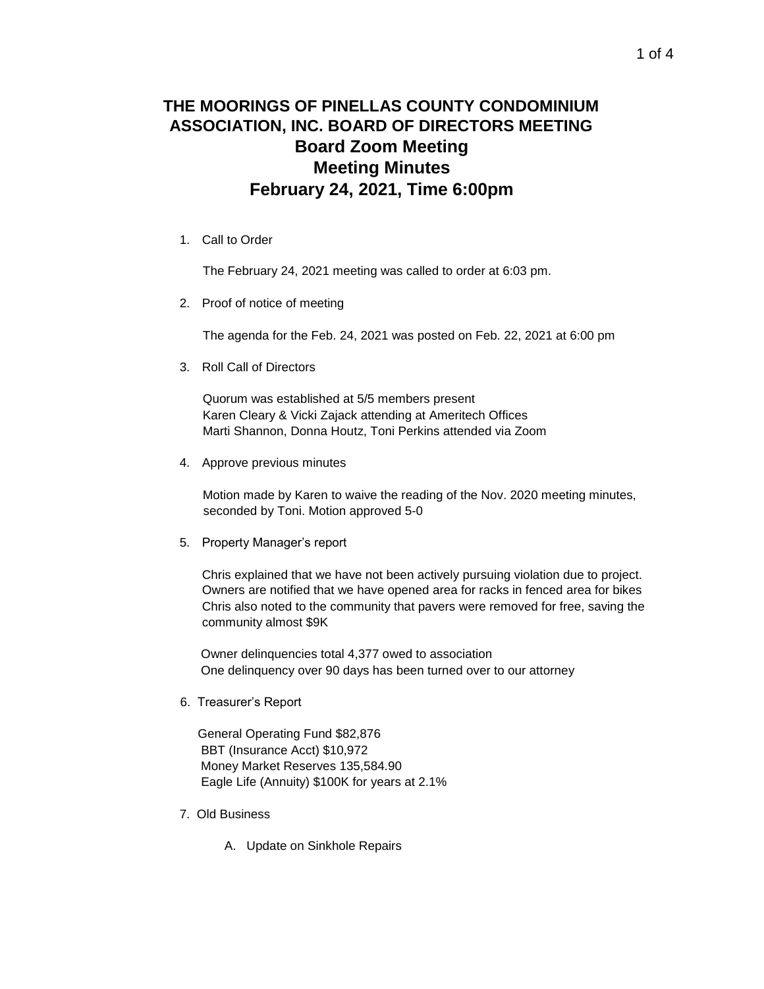## **THE MOORINGS OF PINELLAS COUNTY CONDOMINIUM ASSOCIATION, INC. BOARD OF DIRECTORS MEETING Board Zoom Meeting Meeting Minutes February 24, 2021, Time 6:00pm**

1. Call to Order

The February 24, 2021 meeting was called to order at 6:03 pm.

2. Proof of notice of meeting

The agenda for the Feb. 24, 2021 was posted on Feb. 22, 2021 at 6:00 pm

3. Roll Call of Directors

Quorum was established at 5/5 members present Karen Cleary & Vicki Zajack attending at Ameritech Offices Marti Shannon, Donna Houtz, Toni Perkins attended via Zoom

4. Approve previous minutes

Motion made by Karen to waive the reading of the Nov. 2020 meeting minutes, seconded by Toni. Motion approved 5-0

5. Property Manager's report

Chris explained that we have not been actively pursuing violation due to project. Owners are notified that we have opened area for racks in fenced area for bikes Chris also noted to the community that pavers were removed for free, saving the community almost \$9K

 Owner delinquencies total 4,377 owed to association One delinquency over 90 days has been turned over to our attorney

6. Treasurer's Report

 General Operating Fund \$82,876 BBT (Insurance Acct) \$10,972 Money Market Reserves 135,584.90 Eagle Life (Annuity) \$100K for years at 2.1%

- 7. Old Business
	- A. Update on Sinkhole Repairs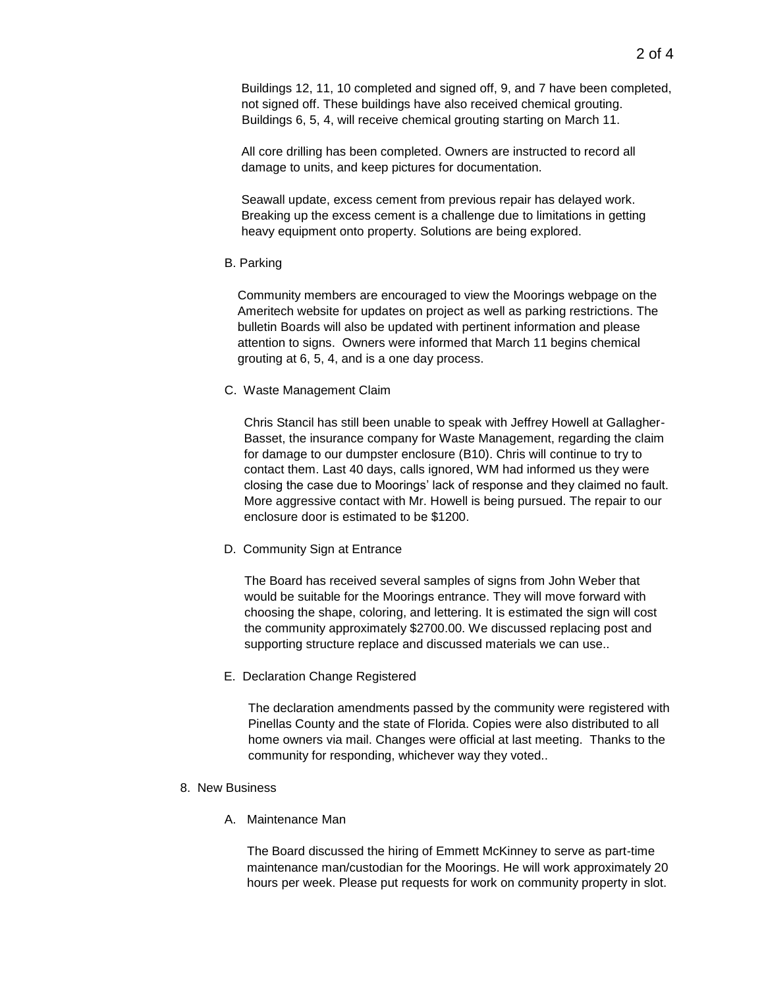Buildings 12, 11, 10 completed and signed off, 9, and 7 have been completed, not signed off. These buildings have also received chemical grouting. Buildings 6, 5, 4, will receive chemical grouting starting on March 11.

All core drilling has been completed. Owners are instructed to record all damage to units, and keep pictures for documentation.

Seawall update, excess cement from previous repair has delayed work. Breaking up the excess cement is a challenge due to limitations in getting heavy equipment onto property. Solutions are being explored.

B. Parking

Community members are encouraged to view the Moorings webpage on the Ameritech website for updates on project as well as parking restrictions. The bulletin Boards will also be updated with pertinent information and please attention to signs. Owners were informed that March 11 begins chemical grouting at 6, 5, 4, and is a one day process.

C. Waste Management Claim

Chris Stancil has still been unable to speak with Jeffrey Howell at Gallagher-Basset, the insurance company for Waste Management, regarding the claim for damage to our dumpster enclosure (B10). Chris will continue to try to contact them. Last 40 days, calls ignored, WM had informed us they were closing the case due to Moorings' lack of response and they claimed no fault. More aggressive contact with Mr. Howell is being pursued. The repair to our enclosure door is estimated to be \$1200.

D. Community Sign at Entrance

The Board has received several samples of signs from John Weber that would be suitable for the Moorings entrance. They will move forward with choosing the shape, coloring, and lettering. It is estimated the sign will cost the community approximately \$2700.00. We discussed replacing post and supporting structure replace and discussed materials we can use..

E. Declaration Change Registered

The declaration amendments passed by the community were registered with Pinellas County and the state of Florida. Copies were also distributed to all home owners via mail. Changes were official at last meeting. Thanks to the community for responding, whichever way they voted..

- 8. New Business
	- A. Maintenance Man

The Board discussed the hiring of Emmett McKinney to serve as part-time maintenance man/custodian for the Moorings. He will work approximately 20 hours per week. Please put requests for work on community property in slot.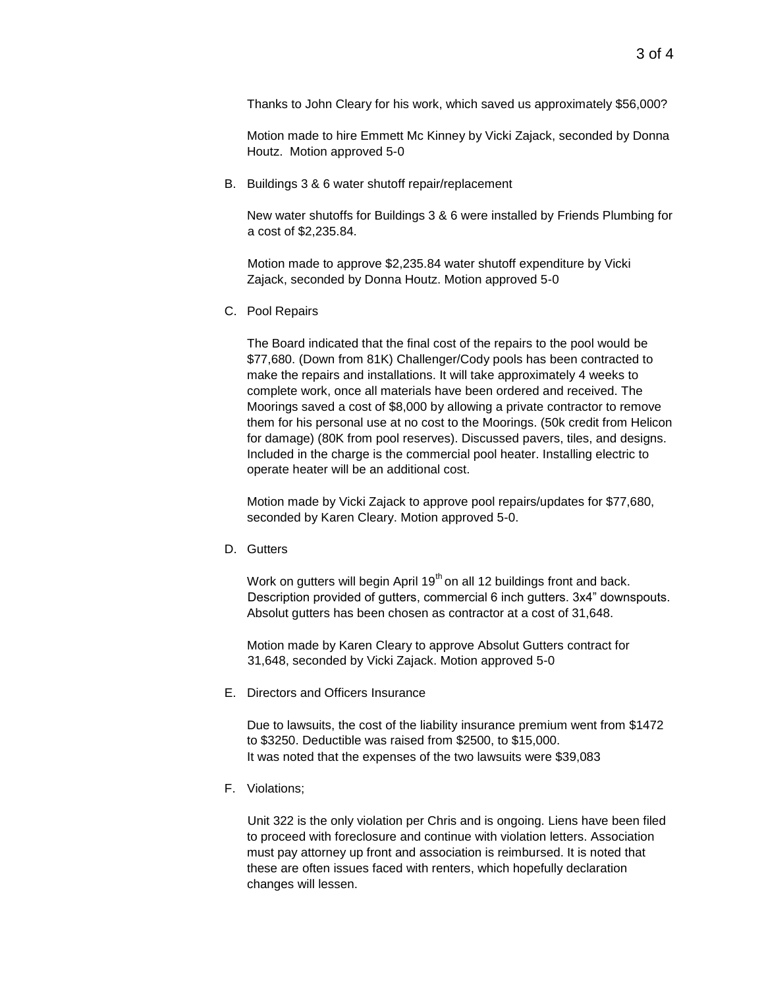Thanks to John Cleary for his work, which saved us approximately \$56,000?

Motion made to hire Emmett Mc Kinney by Vicki Zajack, seconded by Donna Houtz. Motion approved 5-0

B. Buildings 3 & 6 water shutoff repair/replacement

New water shutoffs for Buildings 3 & 6 were installed by Friends Plumbing for a cost of \$2,235.84.

Motion made to approve \$2,235.84 water shutoff expenditure by Vicki Zajack, seconded by Donna Houtz. Motion approved 5-0

C. Pool Repairs

The Board indicated that the final cost of the repairs to the pool would be \$77,680. (Down from 81K) Challenger/Cody pools has been contracted to make the repairs and installations. It will take approximately 4 weeks to complete work, once all materials have been ordered and received. The Moorings saved a cost of \$8,000 by allowing a private contractor to remove them for his personal use at no cost to the Moorings. (50k credit from Helicon for damage) (80K from pool reserves). Discussed pavers, tiles, and designs. Included in the charge is the commercial pool heater. Installing electric to operate heater will be an additional cost.

Motion made by Vicki Zajack to approve pool repairs/updates for \$77,680, seconded by Karen Cleary. Motion approved 5-0.

D. Gutters

Work on gutters will begin April  $19<sup>th</sup>$  on all 12 buildings front and back. Description provided of gutters, commercial 6 inch gutters. 3x4" downspouts. Absolut gutters has been chosen as contractor at a cost of 31,648.

Motion made by Karen Cleary to approve Absolut Gutters contract for 31,648, seconded by Vicki Zajack. Motion approved 5-0

E. Directors and Officers Insurance

Due to lawsuits, the cost of the liability insurance premium went from \$1472 to \$3250. Deductible was raised from \$2500, to \$15,000. It was noted that the expenses of the two lawsuits were \$39,083

F. Violations;

Unit 322 is the only violation per Chris and is ongoing. Liens have been filed to proceed with foreclosure and continue with violation letters. Association must pay attorney up front and association is reimbursed. It is noted that these are often issues faced with renters, which hopefully declaration changes will lessen.